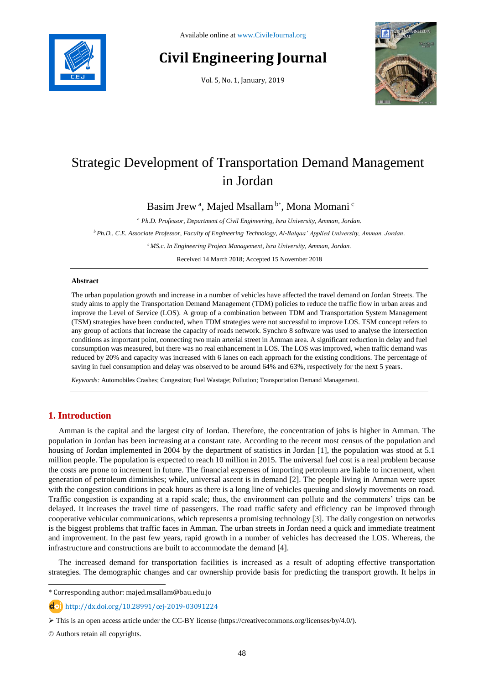

# **Civil Engineering Journal**

Vol. 5, No. 1, January, 2019



# Strategic Development of Transportation Demand Management in Jordan

Basim Jrew<sup>a</sup>, Majed Msallam b\*, Mona Momani c

*<sup>a</sup> Ph.D. Professor, Department of Civil Engineering, Isra University, Amman, Jordan.*

*<sup>b</sup>Ph.D., C.E. Associate Professor, Faculty of Engineering Technology, Al-Balqaa' Applied University, Amman, Jordan.*

*<sup>c</sup>MS.c. In Engineering Project Management, Isra University, Amman, Jordan.*

Received 14 March 2018; Accepted 15 November 2018

#### **Abstract**

The urban population growth and increase in a number of vehicles have affected the travel demand on Jordan Streets. The study aims to apply the Transportation Demand Management (TDM) policies to reduce the traffic flow in urban areas and improve the Level of Service (LOS). A group of a combination between TDM and Transportation System Management (TSM) strategies have been conducted, when TDM strategies were not successful to improve LOS. TSM concept refers to any group of actions that increase the capacity of roads network. Synchro 8 software was used to analyse the intersection conditions as important point, connecting two main arterial street in Amman area. A significant reduction in delay and fuel consumption was measured, but there was no real enhancement in LOS. The LOS was improved, when traffic demand was reduced by 20% and capacity was increased with 6 lanes on each approach for the existing conditions. The percentage of saving in fuel consumption and delay was observed to be around 64% and 63%, respectively for the next 5 years.

*Keywords:* Automobiles Crashes; Congestion; Fuel Wastage; Pollution; Transportation Demand Management.

# **1. Introduction**

Amman is the capital and the largest city of Jordan. Therefore, the concentration of jobs is higher in Amman. The population in Jordan has been increasing at a constant rate. According to the recent most census of the population and housing of Jordan implemented in 2004 by the department of statistics in Jordan [1], the population was stood at 5.1 million people. The population is expected to reach 10 million in 2015. The universal fuel cost is a real problem because the costs are prone to increment in future. The financial expenses of importing petroleum are liable to increment, when generation of petroleum diminishes; while, universal ascent is in demand [2]. The people living in Amman were upset with the congestion conditions in peak hours as there is a long line of vehicles queuing and slowly movements on road. Traffic congestion is expanding at a rapid scale; thus, the environment can pollute and the commuters' trips can be delayed. It increases the travel time of passengers. The road traffic safety and efficiency can be improved through cooperative vehicular communications, which represents a promising technology [3]. The daily congestion on networks is the biggest problems that traffic faces in Amman. The urban streets in Jordan need a quick and immediate treatment and improvement. In the past few years, rapid growth in a number of vehicles has decreased the LOS. Whereas, the infrastructure and constructions are built to accommodate the demand [4].

The increased demand for transportation facilities is increased as a result of adopting effective transportation strategies. The demographic changes and car ownership provide basis for predicting the transport growth. It helps in

\* Corresponding author: majed.msallam@bau.edu.jo

http://dx.doi.org/10.28991/cej-2019-03091224

© Authors retain all copyrights.

l

This is an open access article under the CC-BY license [\(https://creativecommons.org/licenses/by/4.0/\)](https://creativecommons.org/licenses/by/4.0/).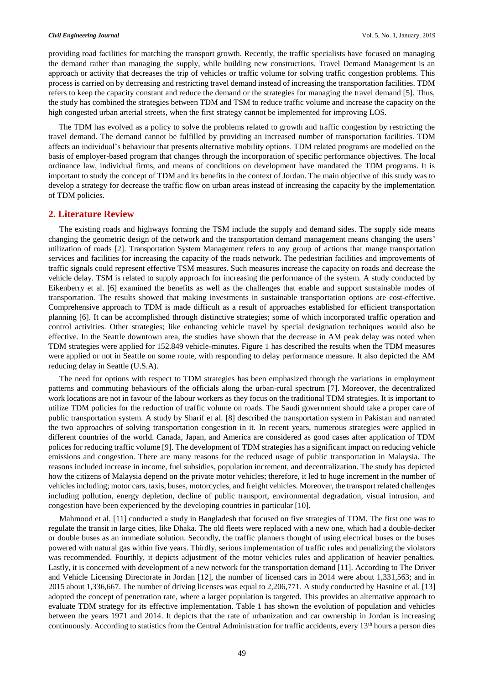providing road facilities for matching the transport growth. Recently, the traffic specialists have focused on managing the demand rather than managing the supply, while building new constructions. Travel Demand Management is an approach or activity that decreases the trip of vehicles or traffic volume for solving traffic congestion problems. This process is carried on by decreasing and restricting travel demand instead of increasing the transportation facilities. TDM refers to keep the capacity constant and reduce the demand or the strategies for managing the travel demand [5]. Thus, the study has combined the strategies between TDM and TSM to reduce traffic volume and increase the capacity on the high congested urban arterial streets, when the first strategy cannot be implemented for improving LOS.

The TDM has evolved as a policy to solve the problems related to growth and traffic congestion by restricting the travel demand. The demand cannot be fulfilled by providing an increased number of transportation facilities. TDM affects an individual's behaviour that presents alternative mobility options. TDM related programs are modelled on the basis of employer-based program that changes through the incorporation of specific performance objectives. The local ordinance law, individual firms, and means of conditions on development have mandated the TDM programs. It is important to study the concept of TDM and its benefits in the context of Jordan. The main objective of this study was to develop a strategy for decrease the traffic flow on urban areas instead of increasing the capacity by the implementation of TDM policies.

#### **2. Literature Review**

The existing roads and highways forming the TSM include the supply and demand sides. The supply side means changing the geometric design of the network and the transportation demand management means changing the users' utilization of roads [2]. Transportation System Management refers to any group of actions that mange transportation services and facilities for increasing the capacity of the roads network. The pedestrian facilities and improvements of traffic signals could represent effective TSM measures. Such measures increase the capacity on roads and decrease the vehicle delay. TSM is related to supply approach for increasing the performance of the system. A study conducted by Eikenberry et al. [6] examined the benefits as well as the challenges that enable and support sustainable modes of transportation. The results showed that making investments in sustainable transportation options are cost-effective. Comprehensive approach to TDM is made difficult as a result of approaches established for efficient transportation planning [6]. It can be accomplished through distinctive strategies; some of which incorporated traffic operation and control activities. Other strategies; like enhancing vehicle travel by special designation techniques would also be effective. In the Seattle downtown area, the studies have shown that the decrease in AM peak delay was noted when TDM strategies were applied for 152.849 vehicle-minutes. Figure 1 has described the results when the TDM measures were applied or not in Seattle on some route, with responding to delay performance measure. It also depicted the AM reducing delay in Seattle (U.S.A).

The need for options with respect to TDM strategies has been emphasized through the variations in employment patterns and commuting behaviours of the officials along the urban-rural spectrum [7]. Moreover, the decentralized work locations are not in favour of the labour workers as they focus on the traditional TDM strategies. It is important to utilize TDM policies for the reduction of traffic volume on roads. The Saudi government should take a proper care of public transportation system. A study by Sharif et al. [8] described the transportation system in Pakistan and narrated the two approaches of solving transportation congestion in it. In recent years, numerous strategies were applied in different countries of the world. Canada, Japan, and America are considered as good cases after application of TDM polices for reducing traffic volume [9]. The development of TDM strategies has a significant impact on reducing vehicle emissions and congestion. There are many reasons for the reduced usage of public transportation in Malaysia. The reasons included increase in income, fuel subsidies, population increment, and decentralization. The study has depicted how the citizens of Malaysia depend on the private motor vehicles; therefore, it led to huge increment in the number of vehicles including; motor cars, taxis, buses, motorcycles, and freight vehicles. Moreover, the transport related challenges including pollution, energy depletion, decline of public transport, environmental degradation, visual intrusion, and congestion have been experienced by the developing countries in particular [10].

Mahmood et al. [11] conducted a study in Bangladesh that focused on five strategies of TDM. The first one was to regulate the transit in large cities, like Dhaka. The old fleets were replaced with a new one, which had a double-decker or double buses as an immediate solution. Secondly, the traffic planners thought of using electrical buses or the buses powered with natural gas within five years. Thirdly, serious implementation of traffic rules and penalizing the violators was recommended. Fourthly, it depicts adjustment of the motor vehicles rules and application of heavier penalties. Lastly, it is concerned with development of a new network for the transportation demand [11]. According to The Driver and Vehicle Licensing Directorate in Jordan [12], the number of licensed cars in 2014 were about 1,331,563; and in 2015 about 1,336,667. The number of driving licenses was equal to 2,206,771. A study conducted by Hasnine et al. [13] adopted the concept of penetration rate, where a larger population is targeted. This provides an alternative approach to evaluate TDM strategy for its effective implementation. Table 1 has shown the evolution of population and vehicles between the years 1971 and 2014. It depicts that the rate of urbanization and car ownership in Jordan is increasing continuously. According to statistics from the Central Administration for traffic accidents, every 13<sup>th</sup> hours a person dies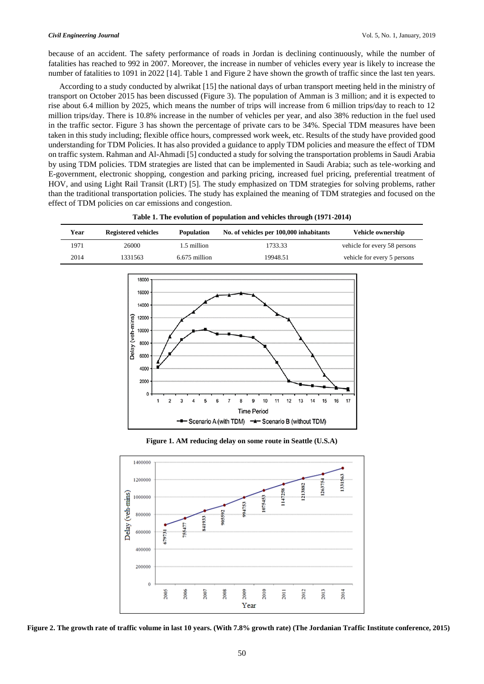because of an accident. The safety performance of roads in Jordan is declining continuously, while the number of fatalities has reached to 992 in 2007. Moreover, the increase in number of vehicles every year is likely to increase the number of fatalities to 1091 in 2022 [14]. Table 1 and Figure 2 have shown the growth of traffic since the last ten years.

According to a study conducted by alwrikat [15] the national days of urban transport meeting held in the ministry of transport on October 2015 has been discussed (Figure 3). The population of Amman is 3 million; and it is expected to rise about 6.4 million by 2025, which means the number of trips will increase from 6 million trips/day to reach to 12 million trips/day. There is 10.8% increase in the number of vehicles per year, and also 38% reduction in the fuel used in the traffic sector. Figure 3 has shown the percentage of private cars to be 34%. Special TDM measures have been taken in this study including; flexible office hours, compressed work week, etc. Results of the study have provided good understanding for TDM Policies. It has also provided a guidance to apply TDM policies and measure the effect of TDM on traffic system. Rahman and Al-Ahmadi [5] conducted a study for solving the transportation problems in Saudi Arabia by using TDM policies. TDM strategies are listed that can be implemented in Saudi Arabia; such as tele-working and E-government, electronic shopping, congestion and parking pricing, increased fuel pricing, preferential treatment of HOV, and using Light Rail Transit (LRT) [5]. The study emphasized on TDM strategies for solving problems, rather than the traditional transportation policies. The study has explained the meaning of TDM strategies and focused on the effect of TDM policies on car emissions and congestion.

| Year | <b>Registered vehicles</b> | <b>Population</b> | No. of vehicles per 100,000 inhabitants | <b>Vehicle ownership</b>     |
|------|----------------------------|-------------------|-----------------------------------------|------------------------------|
| 1971 | 26000                      | 1.5 million       | 1733.33                                 | vehicle for every 58 persons |
| 2014 | 1331563                    | 6.675 million     | 19948.51                                | vehicle for every 5 persons  |

**Table 1. The evolution of population and vehicles through (1971-2014)**



**Figure 1. AM reducing delay on some route in Seattle (U.S.A)**



**Figure 2. The growth rate of traffic volume in last 10 years. (With 7.8% growth rate) (The Jordanian Traffic Institute conference, 2015)**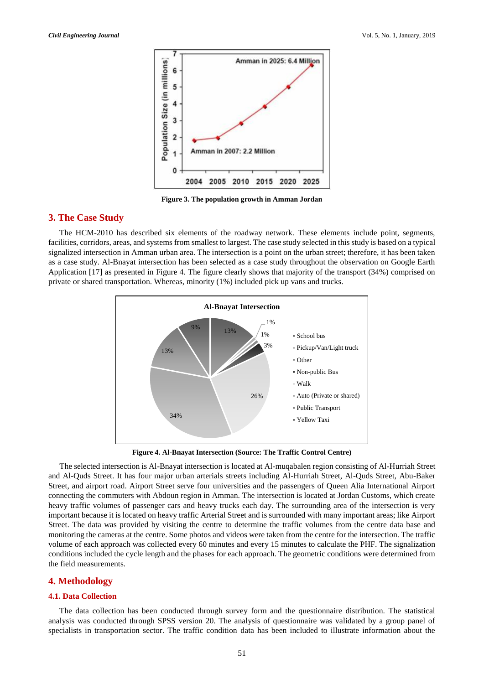

**Figure 3. The population growth in Amman Jordan**

## **3. The Case Study**

The HCM-2010 has described six elements of the roadway network. These elements include point, segments, facilities, corridors, areas, and systems from smallest to largest. The case study selected in this study is based on a typical signalized intersection in Amman urban area. The intersection is a point on the urban street; therefore, it has been taken as a case study. Al-Bnayat intersection has been selected as a case study throughout the observation on Google Earth Application [17] as presented in Figure 4. The figure clearly shows that majority of the transport (34%) comprised on private or shared transportation. Whereas, minority (1%) included pick up vans and trucks.



**Figure 4. Al-Bnayat Intersection (Source: The Traffic Control Centre)** 

The selected intersection is Al-Bnayat intersection is located at Al-muqabalen region consisting of Al-Hurriah Street and Al-Quds Street. It has four major urban arterials streets including Al-Hurriah Street, Al-Quds Street, Abu-Baker Street, and airport road. Airport Street serve four universities and the passengers of Queen Alia International Airport connecting the commuters with Abdoun region in Amman. The intersection is located at Jordan Customs, which create heavy traffic volumes of passenger cars and heavy trucks each day. The surrounding area of the intersection is very important because it is located on heavy traffic Arterial Street and is surrounded with many important areas; like Airport Street. The data was provided by visiting the centre to determine the traffic volumes from the centre data base and monitoring the cameras at the centre. Some photos and videos were taken from the centre for the intersection. The traffic volume of each approach was collected every 60 minutes and every 15 minutes to calculate the PHF. The signalization conditions included the cycle length and the phases for each approach. The geometric conditions were determined from the field measurements.

## **4. Methodology**

#### **4.1. Data Collection**

The data collection has been conducted through survey form and the questionnaire distribution. The statistical analysis was conducted through SPSS version 20. The analysis of questionnaire was validated by a group panel of specialists in transportation sector. The traffic condition data has been included to illustrate information about the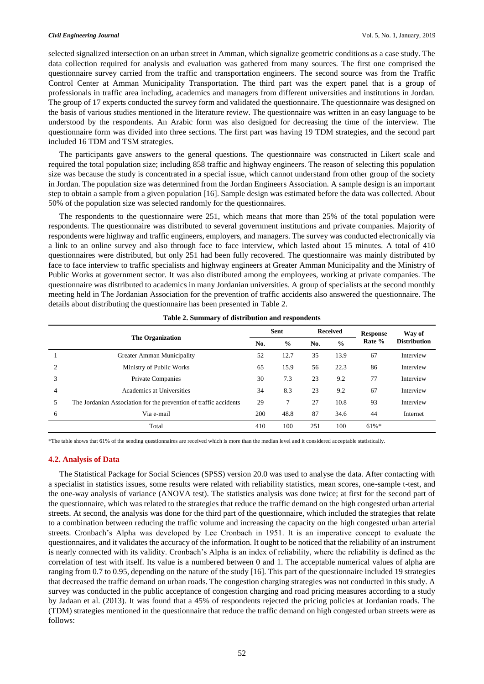selected signalized intersection on an urban street in Amman, which signalize geometric conditions as a case study. The data collection required for analysis and evaluation was gathered from many sources. The first one comprised the questionnaire survey carried from the traffic and transportation engineers. The second source was from the Traffic Control Center at Amman Municipality Transportation. The third part was the expert panel that is a group of professionals in traffic area including, academics and managers from different universities and institutions in Jordan. The group of 17 experts conducted the survey form and validated the questionnaire. The questionnaire was designed on the basis of various studies mentioned in the literature review. The questionnaire was written in an easy language to be understood by the respondents. An Arabic form was also designed for decreasing the time of the interview. The questionnaire form was divided into three sections. The first part was having 19 TDM strategies, and the second part included 16 TDM and TSM strategies.

The participants gave answers to the general questions. The questionnaire was constructed in Likert scale and required the total population size; including 858 traffic and highway engineers. The reason of selecting this population size was because the study is concentrated in a special issue, which cannot understand from other group of the society in Jordan. The population size was determined from the Jordan Engineers Association. A sample design is an important step to obtain a sample from a given population [16]. Sample design was estimated before the data was collected. About 50% of the population size was selected randomly for the questionnaires.

The respondents to the questionnaire were 251, which means that more than 25% of the total population were respondents. The questionnaire was distributed to several government institutions and private companies. Majority of respondents were highway and traffic engineers, employers, and managers. The survey was conducted electronically via a link to an online survey and also through face to face interview, which lasted about 15 minutes. A total of 410 questionnaires were distributed, but only 251 had been fully recovered. The questionnaire was mainly distributed by face to face interview to traffic specialists and highway engineers at Greater Amman Municipality and the Ministry of Public Works at government sector. It was also distributed among the employees, working at private companies. The questionnaire was distributed to academics in many Jordanian universities. A group of specialists at the second monthly meeting held in The Jordanian Association for the prevention of traffic accidents also answered the questionnaire. The details about distributing the questionnaire has been presented in Table 2.

|                |                                                                   | Sent |               |     | <b>Received</b> | <b>Response</b> | Way of              |
|----------------|-------------------------------------------------------------------|------|---------------|-----|-----------------|-----------------|---------------------|
|                | <b>The Organization</b>                                           | No.  | $\frac{0}{0}$ | No. | $\frac{0}{0}$   | Rate %          | <b>Distribution</b> |
|                | Greater Amman Municipality                                        | 52   | 12.7          | 35  | 13.9            | 67              | Interview           |
| $\overline{c}$ | Ministry of Public Works                                          | 65   | 15.9          | 56  | 22.3            | 86              | Interview           |
| 3              | <b>Private Companies</b>                                          | 30   | 7.3           | 23  | 9.2             | 77              | Interview           |
| 4              | Academics at Universities                                         | 34   | 8.3           | 23  | 9.2             | 67              | Interview           |
| 5              | The Jordanian Association for the prevention of traffic accidents | 29   | 7             | 27  | 10.8            | 93              | Interview           |
| 6              | Via e-mail                                                        | 200  | 48.8          | 87  | 34.6            | 44              | Internet            |
|                | Total                                                             | 410  | 100           | 251 | 100             | $61\%$ *        |                     |

**Table 2. Summary of distribution and respondents**

\*The table shows that 61% of the sending questionnaires are received which is more than the median level and it considered acceptable statistically.

#### **4.2. Analysis of Data**

The Statistical Package for Social Sciences (SPSS) version 20.0 was used to analyse the data. After contacting with a specialist in statistics issues, some results were related with reliability statistics, mean scores, one-sample t-test, and the one-way analysis of variance (ANOVA test). The statistics analysis was done twice; at first for the second part of the questionnaire, which was related to the strategies that reduce the traffic demand on the high congested urban arterial streets. At second, the analysis was done for the third part of the questionnaire, which included the strategies that relate to a combination between reducing the traffic volume and increasing the capacity on the high congested urban arterial streets. Cronbach's Alpha was developed by Lee Cronbach in 1951. It is an imperative concept to evaluate the questionnaires, and it validates the accuracy of the information. It ought to be noticed that the reliability of an instrument is nearly connected with its validity. Cronbach's Alpha is an index of reliability, where the reliability is defined as the correlation of test with itself. Its value is a numbered between 0 and 1. The acceptable numerical values of alpha are ranging from 0.7 to 0.95, depending on the nature of the study [16]. This part of the questionnaire included 19 strategies that decreased the traffic demand on urban roads. The congestion charging strategies was not conducted in this study. A survey was conducted in the public acceptance of congestion charging and road pricing measures according to a study by Jadaan et al. (2013). It was found that a 45% of respondents rejected the pricing policies at Jordanian roads. The (TDM) strategies mentioned in the questionnaire that reduce the traffic demand on high congested urban streets were as follows: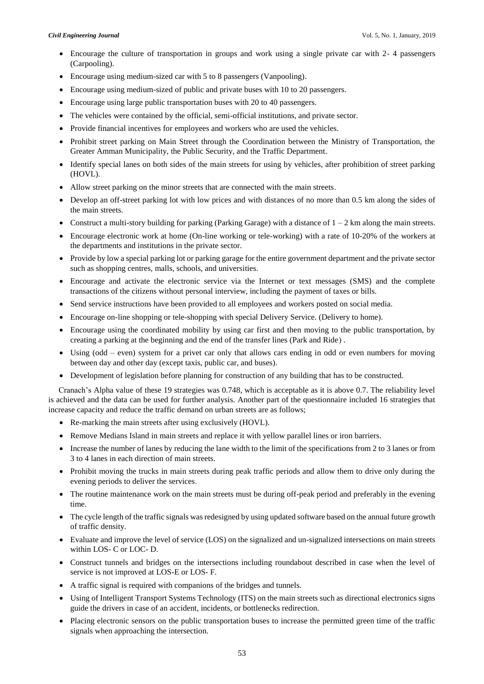- Encourage the culture of transportation in groups and work using a single private car with 2- 4 passengers (Carpooling).
- Encourage using medium-sized car with 5 to 8 passengers (Vanpooling).
- Encourage using medium-sized of public and private buses with 10 to 20 passengers.
- Encourage using large public transportation buses with 20 to 40 passengers.
- The vehicles were contained by the official, semi-official institutions, and private sector.
- Provide financial incentives for employees and workers who are used the vehicles.
- Prohibit street parking on Main Street through the Coordination between the Ministry of Transportation, the Greater Amman Municipality, the Public Security, and the Traffic Department.
- Identify special lanes on both sides of the main streets for using by vehicles, after prohibition of street parking (HOVL).
- Allow street parking on the minor streets that are connected with the main streets.
- Develop an off-street parking lot with low prices and with distances of no more than 0.5 km along the sides of the main streets.
- Construct a multi-story building for parking (Parking Garage) with a distance of  $1 2$  km along the main streets.
- Encourage electronic work at home (On-line working or tele-working) with a rate of 10-20% of the workers at the departments and institutions in the private sector.
- Provide by low a special parking lot or parking garage for the entire government department and the private sector such as shopping centres, malls, schools, and universities.
- Encourage and activate the electronic service via the Internet or text messages (SMS) and the complete transactions of the citizens without personal interview, including the payment of taxes or bills.
- Send service instructions have been provided to all employees and workers posted on social media.
- Encourage on-line shopping or tele-shopping with special Delivery Service. (Delivery to home).
- Encourage using the coordinated mobility by using car first and then moving to the public transportation, by creating a parking at the beginning and the end of the transfer lines (Park and Ride).
- Using (odd even) system for a privet car only that allows cars ending in odd or even numbers for moving between day and other day (except taxis, public car, and buses).
- Development of legislation before planning for construction of any building that has to be constructed.

 Cranach's Alpha value of these 19 strategies was 0.748, which is acceptable as it is above 0.7. The reliability level is achieved and the data can be used for further analysis. Another part of the questionnaire included 16 strategies that increase capacity and reduce the traffic demand on urban streets are as follows;

- Re-marking the main streets after using exclusively (HOVL).
- Remove Medians Island in main streets and replace it with yellow parallel lines or iron barriers.
- Increase the number of lanes by reducing the lane width to the limit of the specifications from 2 to 3 lanes or from 3 to 4 lanes in each direction of main streets.
- Prohibit moving the trucks in main streets during peak traffic periods and allow them to drive only during the evening periods to deliver the services.
- The routine maintenance work on the main streets must be during off-peak period and preferably in the evening time.
- The cycle length of the traffic signals was redesigned by using updated software based on the annual future growth of traffic density.
- Evaluate and improve the level of service (LOS) on the signalized and un-signalized intersections on main streets within LOS- C or LOC- D.
- Construct tunnels and bridges on the intersections including roundabout described in case when the level of service is not improved at LOS-E or LOS- F.
- A traffic signal is required with companions of the bridges and tunnels.
- Using of Intelligent Transport Systems Technology (ITS) on the main streets such as directional electronics signs guide the drivers in case of an accident, incidents, or bottlenecks redirection.
- Placing electronic sensors on the public transportation buses to increase the permitted green time of the traffic signals when approaching the intersection.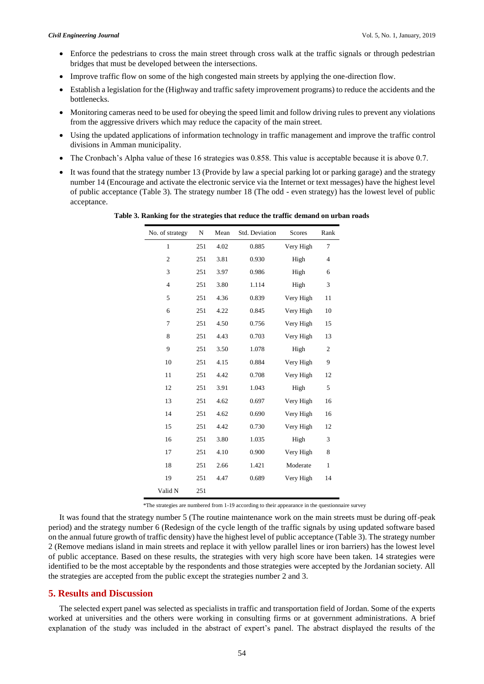- Enforce the pedestrians to cross the main street through cross walk at the traffic signals or through pedestrian bridges that must be developed between the intersections.
- Improve traffic flow on some of the high congested main streets by applying the one-direction flow.
- Establish a legislation for the (Highway and traffic safety improvement programs) to reduce the accidents and the bottlenecks.
- Monitoring cameras need to be used for obeying the speed limit and follow driving rules to prevent any violations from the aggressive drivers which may reduce the capacity of the main street.
- Using the updated applications of information technology in traffic management and improve the traffic control divisions in Amman municipality.
- The Cronbach's Alpha value of these 16 strategies was 0.858. This value is acceptable because it is above 0.7.
- It was found that the strategy number 13 (Provide by law a special parking lot or parking garage) and the strategy number 14 (Encourage and activate the electronic service via the Internet or text messages) have the highest level of public acceptance (Table 3). The strategy number 18 (The odd - even strategy) has the lowest level of public acceptance.

| No. of strategy | N   | Mean | Std. Deviation | <b>Scores</b> | Rank           |
|-----------------|-----|------|----------------|---------------|----------------|
| $\mathbf{1}$    | 251 | 4.02 | 0.885          | Very High     | 7              |
| $\overline{2}$  | 251 | 3.81 | 0.930          | High          | $\overline{4}$ |
| 3               | 251 | 3.97 | 0.986          | High          | 6              |
| $\overline{4}$  | 251 | 3.80 | 1.114          | High          | 3              |
| 5               | 251 | 4.36 | 0.839          | Very High     | 11             |
| 6               | 251 | 4.22 | 0.845          | Very High     | 10             |
| 7               | 251 | 4.50 | 0.756          | Very High     | 15             |
| 8               | 251 | 4.43 | 0.703          | Very High     | 13             |
| 9               | 251 | 3.50 | 1.078          | High          | $\mathfrak{2}$ |
| 10              | 251 | 4.15 | 0.884          | Very High     | 9              |
| 11              | 251 | 4.42 | 0.708          | Very High     | 12             |
| 12              | 251 | 3.91 | 1.043          | High          | 5              |
| 13              | 251 | 4.62 | 0.697          | Very High     | 16             |
| 14              | 251 | 4.62 | 0.690          | Very High     | 16             |
| 15              | 251 | 4.42 | 0.730          | Very High     | 12             |
| 16              | 251 | 3.80 | 1.035          | High          | 3              |
| 17              | 251 | 4.10 | 0.900          | Very High     | 8              |
| 18              | 251 | 2.66 | 1.421          | Moderate      | $\mathbf{1}$   |
| 19              | 251 | 4.47 | 0.689          | Very High     | 14             |
| Valid N         | 251 |      |                |               |                |

**Table 3. Ranking for the strategies that reduce the traffic demand on urban roads**

\*The strategies are numbered from 1-19 according to their appearance in the questionnaire survey

It was found that the strategy number 5 (The routine maintenance work on the main streets must be during off-peak period) and the strategy number 6 (Redesign of the cycle length of the traffic signals by using updated software based on the annual future growth of traffic density) have the highest level of public acceptance (Table 3). The strategy number 2 (Remove medians island in main streets and replace it with yellow parallel lines or iron barriers) has the lowest level of public acceptance. Based on these results, the strategies with very high score have been taken. 14 strategies were identified to be the most acceptable by the respondents and those strategies were accepted by the Jordanian society. All the strategies are accepted from the public except the strategies number 2 and 3.

## **5. Results and Discussion**

The selected expert panel was selected as specialists in traffic and transportation field of Jordan. Some of the experts worked at universities and the others were working in consulting firms or at government administrations. A brief explanation of the study was included in the abstract of expert's panel. The abstract displayed the results of the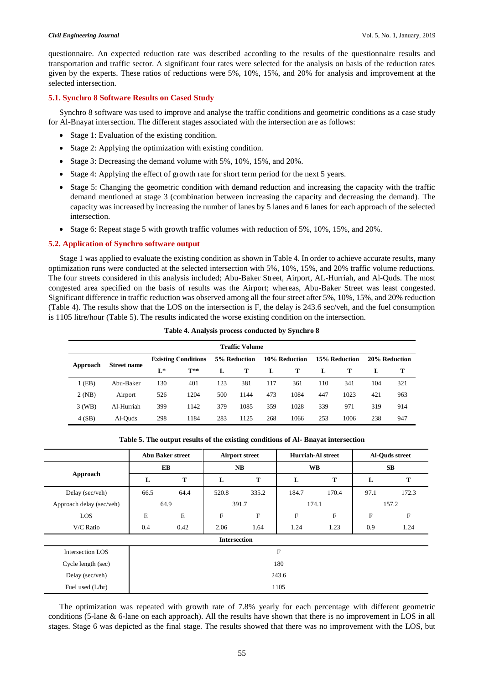questionnaire. An expected reduction rate was described according to the results of the questionnaire results and transportation and traffic sector. A significant four rates were selected for the analysis on basis of the reduction rates given by the experts. These ratios of reductions were 5%, 10%, 15%, and 20% for analysis and improvement at the selected intersection.

#### **5.1. Synchro 8 Software Results on Cased Study**

Synchro 8 software was used to improve and analyse the traffic conditions and geometric conditions as a case study for Al-Bnayat intersection. The different stages associated with the intersection are as follows:

- Stage 1: Evaluation of the existing condition.
- Stage 2: Applying the optimization with existing condition.
- Stage 3: Decreasing the demand volume with 5%, 10%, 15%, and 20%.
- Stage 4: Applying the effect of growth rate for short term period for the next 5 years.
- Stage 5: Changing the geometric condition with demand reduction and increasing the capacity with the traffic demand mentioned at stage 3 (combination between increasing the capacity and decreasing the demand). The capacity was increased by increasing the number of lanes by 5 lanes and 6 lanes for each approach of the selected intersection.
- Stage 6: Repeat stage 5 with growth traffic volumes with reduction of 5%, 10%, 15%, and 20%.

## **5.2. Application of Synchro software output**

Stage 1 was applied to evaluate the existing condition as shown in Table 4. In order to achieve accurate results, many optimization runs were conducted at the selected intersection with 5%, 10%, 15%, and 20% traffic volume reductions. The four streets considered in this analysis included; Abu-Baker Street, Airport, AL-Hurriah, and Al-Quds. The most congested area specified on the basis of results was the Airport; whereas, Abu-Baker Street was least congested. Significant difference in traffic reduction was observed among all the four street after 5%, 10%, 15%, and 20% reduction (Table 4). The results show that the LOS on the intersection is F, the delay is 243.6 sec/veh, and the fuel consumption is 1105 litre/hour (Table 5). The results indicated the worse existing condition on the intersection.

| <b>Traffic Volume</b> |                    |                            |       |              |      |               |      |               |      |               |     |
|-----------------------|--------------------|----------------------------|-------|--------------|------|---------------|------|---------------|------|---------------|-----|
| Approach              | <b>Street name</b> | <b>Existing Conditions</b> |       | 5% Reduction |      | 10% Reduction |      | 15% Reduction |      | 20% Reduction |     |
|                       |                    | $L^*$                      | $T**$ | L            | т    | L             | т    | L             | т    |               | т   |
| 1 (EB)                | Abu-Baker          | 130                        | 401   | 123          | 381  | 117           | 361  | 110           | 341  | 104           | 321 |
| 2(NB)                 | Airport            | 526                        | 1204  | 500          | 1144 | 473           | 1084 | 447           | 1023 | 421           | 963 |
| $3$ (WB)              | Al-Hurriah         | 399                        | 1142  | 379          | 1085 | 359           | 1028 | 339           | 971  | 319           | 914 |
| 4(SB)                 | Al-Ouds            | 298                        | 1184  | 283          | 1125 | 268           | 1066 | 253           | 1006 | 238           | 947 |

|                          | <b>Abu Baker street</b> |             | <b>Airport street</b> |                           | <b>Hurriah-Al street</b> |       | Al-Quds street |             |  |  |
|--------------------------|-------------------------|-------------|-----------------------|---------------------------|--------------------------|-------|----------------|-------------|--|--|
|                          | EB                      |             | NB                    |                           | <b>WB</b>                |       | <b>SB</b>      |             |  |  |
| Approach                 | L                       | T           | L                     | T                         | L                        | T     | L              | T           |  |  |
| Delay (sec/veh)          | 66.5                    | 64.4        | 520.8                 | 335.2                     | 184.7                    | 170.4 | 97.1           | 172.3       |  |  |
| Approach delay (sec/veh) | 64.9                    |             | 391.7                 |                           | 174.1                    |       | 157.2          |             |  |  |
| LOS                      | E                       | $\mathbf E$ | $\mathbf{F}$          | $\boldsymbol{\mathrm{F}}$ | $\mathbf F$              | F     | F              | $\mathbf F$ |  |  |
| V/C Ratio                | 0.4                     | 0.42        | 2.06                  | 1.64                      | 1.24                     | 1.23  | 0.9            | 1.24        |  |  |
|                          |                         |             | <b>Intersection</b>   |                           |                          |       |                |             |  |  |
| Intersection LOS         |                         |             |                       |                           | F                        |       |                |             |  |  |
| Cycle length (sec)       | 180                     |             |                       |                           |                          |       |                |             |  |  |
| Delay (sec/veh)          |                         | 243.6       |                       |                           |                          |       |                |             |  |  |
| Fuel used $(L/hr)$       | 1105                    |             |                       |                           |                          |       |                |             |  |  |

**Table 5. The output results of the existing conditions of Al- Bnayat intersection**

The optimization was repeated with growth rate of 7.8% yearly for each percentage with different geometric conditions (5-lane & 6-lane on each approach). All the results have shown that there is no improvement in LOS in all stages. Stage 6 was depicted as the final stage. The results showed that there was no improvement with the LOS, but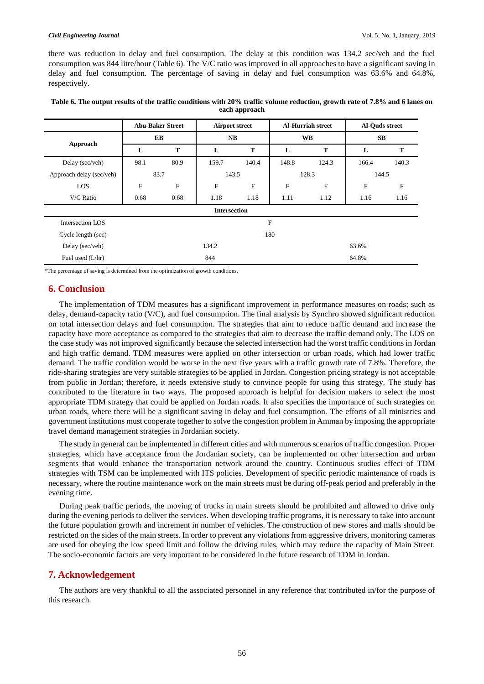there was reduction in delay and fuel consumption. The delay at this condition was 134.2 sec/veh and the fuel consumption was 844 litre/hour (Table 6). The V/C ratio was improved in all approaches to have a significant saving in delay and fuel consumption. The percentage of saving in delay and fuel consumption was 63.6% and 64.8%, respectively.

|                          | <b>Abu-Baker Street</b> |           | <b>Airport street</b> |       | <b>Al-Hurriah street</b> |       | Al-Quds street |                           |
|--------------------------|-------------------------|-----------|-----------------------|-------|--------------------------|-------|----------------|---------------------------|
|                          | EB                      |           | NB                    |       | <b>WB</b>                |       | SB             |                           |
| Approach                 | L                       | T         | L                     | Т     | L                        | T     | L              | T                         |
| Delay (sec/veh)          | 98.1                    | 80.9      | 159.7                 | 140.4 | 148.8                    | 124.3 | 166.4          | 140.3                     |
| Approach delay (sec/veh) | 83.7                    |           | 143.5                 |       | 128.3                    |       | 144.5          |                           |
| LOS                      | F                       | ${\bf F}$ | F                     | F     | F                        | F     | F              | $\boldsymbol{\mathrm{F}}$ |
| V/C Ratio                | 0.68                    | 0.68      | 1.18                  | 1.18  | 1.11                     | 1.12  | 1.16           | 1.16                      |
|                          |                         |           | <b>Intersection</b>   |       |                          |       |                |                           |
| Intersection LOS         |                         |           |                       |       | F                        |       |                |                           |
| Cycle length (sec)       |                         |           |                       |       | 180                      |       |                |                           |
| Delay (sec/veh)          |                         |           | 134.2                 |       |                          |       | 63.6%          |                           |
| Fuel used (L/hr)         |                         |           | 844                   |       |                          |       | 64.8%          |                           |

| Table 6. The output results of the traffic conditions with 20% traffic volume reduction, growth rate of 7.8% and 6 lanes on |
|-----------------------------------------------------------------------------------------------------------------------------|
| each approach                                                                                                               |

\*The percentage of saving is determined from the optimization of growth conditions.

## **6. Conclusion**

The implementation of TDM measures has a significant improvement in performance measures on roads; such as delay, demand-capacity ratio (V/C), and fuel consumption. The final analysis by Synchro showed significant reduction on total intersection delays and fuel consumption. The strategies that aim to reduce traffic demand and increase the capacity have more acceptance as compared to the strategies that aim to decrease the traffic demand only. The LOS on the case study was not improved significantly because the selected intersection had the worst traffic conditions in Jordan and high traffic demand. TDM measures were applied on other intersection or urban roads, which had lower traffic demand. The traffic condition would be worse in the next five years with a traffic growth rate of 7.8%. Therefore, the ride-sharing strategies are very suitable strategies to be applied in Jordan. Congestion pricing strategy is not acceptable from public in Jordan; therefore, it needs extensive study to convince people for using this strategy. The study has contributed to the literature in two ways. The proposed approach is helpful for decision makers to select the most appropriate TDM strategy that could be applied on Jordan roads. It also specifies the importance of such strategies on urban roads, where there will be a significant saving in delay and fuel consumption. The efforts of all ministries and government institutions must cooperate together to solve the congestion problem in Amman by imposing the appropriate travel demand management strategies in Jordanian society.

The study in general can be implemented in different cities and with numerous scenarios of traffic congestion. Proper strategies, which have acceptance from the Jordanian society, can be implemented on other intersection and urban segments that would enhance the transportation network around the country. Continuous studies effect of TDM strategies with TSM can be implemented with ITS policies. Development of specific periodic maintenance of roads is necessary, where the routine maintenance work on the main streets must be during off-peak period and preferably in the evening time.

During peak traffic periods, the moving of trucks in main streets should be prohibited and allowed to drive only during the evening periods to deliver the services. When developing traffic programs, it is necessary to take into account the future population growth and increment in number of vehicles. The construction of new stores and malls should be restricted on the sides of the main streets. In order to prevent any violations from aggressive drivers, monitoring cameras are used for obeying the low speed limit and follow the driving rules, which may reduce the capacity of Main Street. The socio-economic factors are very important to be considered in the future research of TDM in Jordan.

## **7. Acknowledgement**

The authors are very thankful to all the associated personnel in any reference that contributed in/for the purpose of this research.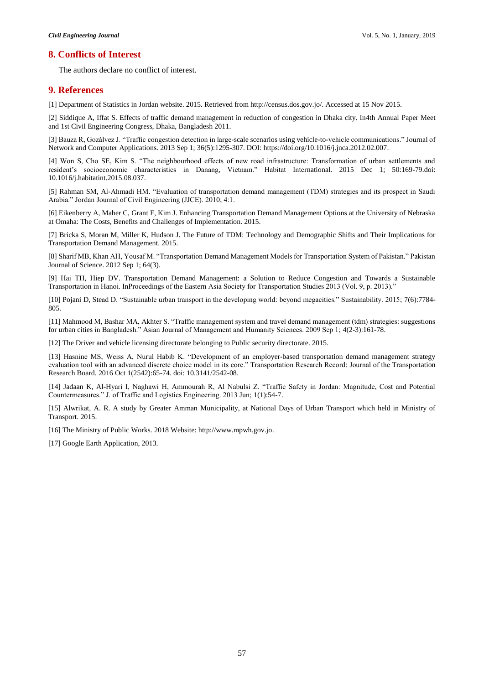## **8. Conflicts of Interest**

The authors declare no conflict of interest.

## **9. References**

[1] Department of Statistics in Jordan website. 2015. Retrieved from http://census.dos.gov.jo/. Accessed at 15 Nov 2015.

[2] Siddique A, Iffat S. Effects of traffic demand management in reduction of congestion in Dhaka city. In4th Annual Paper Meet and 1st Civil Engineering Congress, Dhaka, Bangladesh 2011.

[3] Bauza R, Gozálvez J. "Traffic congestion detection in large-scale scenarios using vehicle-to-vehicle communications." Journal of Network and Computer Applications. 2013 Sep 1; 36(5):1295-307. DOI: https://doi.org/10.1016/j.jnca.2012.02.007.

[4] Won S, Cho SE, Kim S. "The neighbourhood effects of new road infrastructure: Transformation of urban settlements and resident's socioeconomic characteristics in Danang, Vietnam." Habitat International. 2015 Dec 1; 50:169-79.doi: 10.1016/j.habitatint.2015.08.037.

[5] Rahman SM, Al-Ahmadi HM. "Evaluation of transportation demand management (TDM) strategies and its prospect in Saudi Arabia." Jordan Journal of Civil Engineering (JJCE). 2010; 4:1.

[6] Eikenberry A, Maher C, Grant F, Kim J. Enhancing Transportation Demand Management Options at the University of Nebraska at Omaha: The Costs, Benefits and Challenges of Implementation. 2015.

[7] Bricka S, Moran M, Miller K, Hudson J. The Future of TDM: Technology and Demographic Shifts and Their Implications for Transportation Demand Management. 2015.

[8] Sharif MB, Khan AH, Yousaf M. "Transportation Demand Management Models for Transportation System of Pakistan." Pakistan Journal of Science. 2012 Sep 1; 64(3).

[9] Hai TH, Hiep DV. Transportation Demand Management: a Solution to Reduce Congestion and Towards a Sustainable Transportation in Hanoi. InProceedings of the Eastern Asia Society for Transportation Studies 2013 (Vol. 9, p. 2013)."

[10] Pojani D, Stead D. "Sustainable urban transport in the developing world: beyond megacities." Sustainability. 2015; 7(6):7784- 805.

[11] Mahmood M, Bashar MA, Akhter S. "Traffic management system and travel demand management (tdm) strategies: suggestions for urban cities in Bangladesh." Asian Journal of Management and Humanity Sciences. 2009 Sep 1; 4(2-3):161-78.

[12] The Driver and vehicle licensing directorate belonging to Public security directorate. 2015.

[13] Hasnine MS, Weiss A, Nurul Habib K. "Development of an employer-based transportation demand management strategy evaluation tool with an advanced discrete choice model in its core." Transportation Research Record: Journal of the Transportation Research Board. 2016 Oct 1(2542):65-74. doi: 10.3141/2542-08.

[14] Jadaan K, Al-Hyari I, Naghawi H, Ammourah R, Al Nabulsi Z. "Traffic Safety in Jordan: Magnitude, Cost and Potential Countermeasures." J. of Traffic and Logistics Engineering. 2013 Jun; 1(1):54-7.

[15] Alwrikat, A. R. A study by Greater Amman Municipality, at National Days of Urban Transport which held in Ministry of Transport. 2015.

[16] The Ministry of Public Works. 2018 Website: http://www.mpwh.gov.jo.

[17] Google Earth Application, 2013.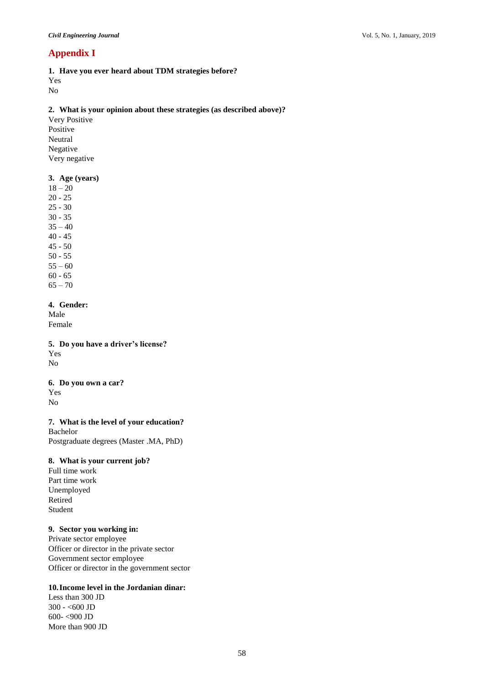# **Appendix I**

**1. Have you ever heard about TDM strategies before?**  Yes

No

## **2. What is your opinion about these strategies (as described above)?**

Very Positive Positive Neutral Negative Very negative

## **3. Age (years)**

- 18 20
- 20 25 25 - 30
- 30 35
- $35 40$
- 40 45
- 45 50
- 50 55
- $55 60$
- 60 65  $65 - 70$

## **4. Gender:**

Male Female

## **5. Do you have a driver's license?** Yes

No

## **6. Do you own a car?** Yes No

## **7. What is the level of your education?**

Bachelor Postgraduate degrees (Master .MA, PhD)

## **8. What is your current job?**

Full time work Part time work Unemployed Retired Student

## **9. Sector you working in:**

Private sector employee Officer or director in the private sector Government sector employee Officer or director in the government sector

# **10.Income level in the Jordanian dinar:**

Less than 300 JD 300 - <600 JD 600- <900 JD More than 900 JD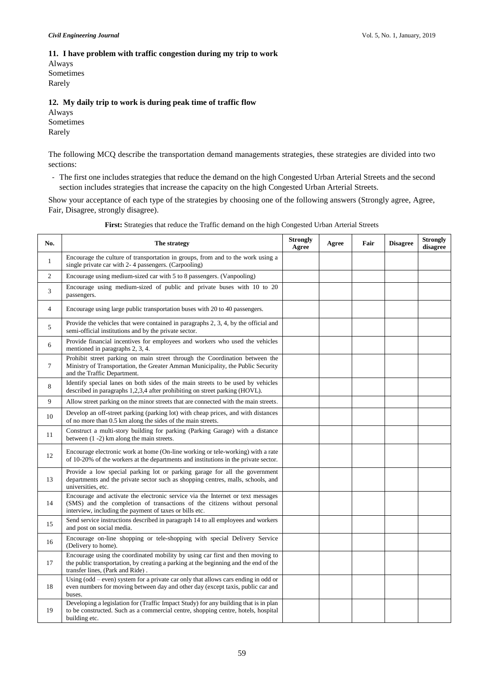### **11. I have problem with traffic congestion during my trip to work**

Always Sometimes Rarely

### **12. My daily trip to work is during peak time of traffic flow**

Always Sometimes Rarely

The following MCQ describe the transportation demand managements strategies, these strategies are divided into two sections:

- The first one includes strategies that reduce the demand on the high Congested Urban Arterial Streets and the second section includes strategies that increase the capacity on the high Congested Urban Arterial Streets.

Show your acceptance of each type of the strategies by choosing one of the following answers (Strongly agree, Agree, Fair, Disagree, strongly disagree).

| No.            | The strategy                                                                                                                                                                                                            | <b>Strongly</b><br>Agree | Agree | Fair | <b>Disagree</b> | <b>Strongly</b><br>disagree |
|----------------|-------------------------------------------------------------------------------------------------------------------------------------------------------------------------------------------------------------------------|--------------------------|-------|------|-----------------|-----------------------------|
| $\mathbf{1}$   | Encourage the culture of transportation in groups, from and to the work using a<br>single private car with 2-4 passengers. (Carpooling)                                                                                 |                          |       |      |                 |                             |
| $\overline{2}$ | Encourage using medium-sized car with 5 to 8 passengers. (Vanpooling)                                                                                                                                                   |                          |       |      |                 |                             |
| 3              | Encourage using medium-sized of public and private buses with 10 to 20<br>passengers.                                                                                                                                   |                          |       |      |                 |                             |
| 4              | Encourage using large public transportation buses with 20 to 40 passengers.                                                                                                                                             |                          |       |      |                 |                             |
| 5              | Provide the vehicles that were contained in paragraphs 2, 3, 4, by the official and<br>semi-official institutions and by the private sector.                                                                            |                          |       |      |                 |                             |
| 6              | Provide financial incentives for employees and workers who used the vehicles<br>mentioned in paragraphs 2, 3, 4.                                                                                                        |                          |       |      |                 |                             |
| $\tau$         | Prohibit street parking on main street through the Coordination between the<br>Ministry of Transportation, the Greater Amman Municipality, the Public Security<br>and the Traffic Department.                           |                          |       |      |                 |                             |
| 8              | Identify special lanes on both sides of the main streets to be used by vehicles<br>described in paragraphs 1,2,3,4 after prohibiting on street parking (HOVL).                                                          |                          |       |      |                 |                             |
| 9              | Allow street parking on the minor streets that are connected with the main streets.                                                                                                                                     |                          |       |      |                 |                             |
| 10             | Develop an off-street parking (parking lot) with cheap prices, and with distances<br>of no more than 0.5 km along the sides of the main streets.                                                                        |                          |       |      |                 |                             |
| 11             | Construct a multi-story building for parking (Parking Garage) with a distance<br>between $(1 - 2)$ km along the main streets.                                                                                           |                          |       |      |                 |                             |
| 12             | Encourage electronic work at home (On-line working or tele-working) with a rate<br>of 10-20% of the workers at the departments and institutions in the private sector.                                                  |                          |       |      |                 |                             |
| 13             | Provide a low special parking lot or parking garage for all the government<br>departments and the private sector such as shopping centres, malls, schools, and<br>universities, etc.                                    |                          |       |      |                 |                             |
| 14             | Encourage and activate the electronic service via the Internet or text messages<br>(SMS) and the completion of transactions of the citizens without personal<br>interview, including the payment of taxes or bills etc. |                          |       |      |                 |                             |
| 15             | Send service instructions described in paragraph 14 to all employees and workers<br>and post on social media.                                                                                                           |                          |       |      |                 |                             |
| 16             | Encourage on-line shopping or tele-shopping with special Delivery Service<br>(Delivery to home).                                                                                                                        |                          |       |      |                 |                             |
| 17             | Encourage using the coordinated mobility by using car first and then moving to<br>the public transportation, by creating a parking at the beginning and the end of the<br>transfer lines, (Park and Ride).              |                          |       |      |                 |                             |
| 18             | Using (odd – even) system for a private car only that allows cars ending in odd or<br>even numbers for moving between day and other day (except taxis, public car and<br>buses.                                         |                          |       |      |                 |                             |
| 19             | Developing a legislation for (Traffic Impact Study) for any building that is in plan<br>to be constructed. Such as a commercial centre, shopping centre, hotels, hospital<br>building etc.                              |                          |       |      |                 |                             |

**First:** Strategies that reduce the Traffic demand on the high Congested Urban Arterial Streets